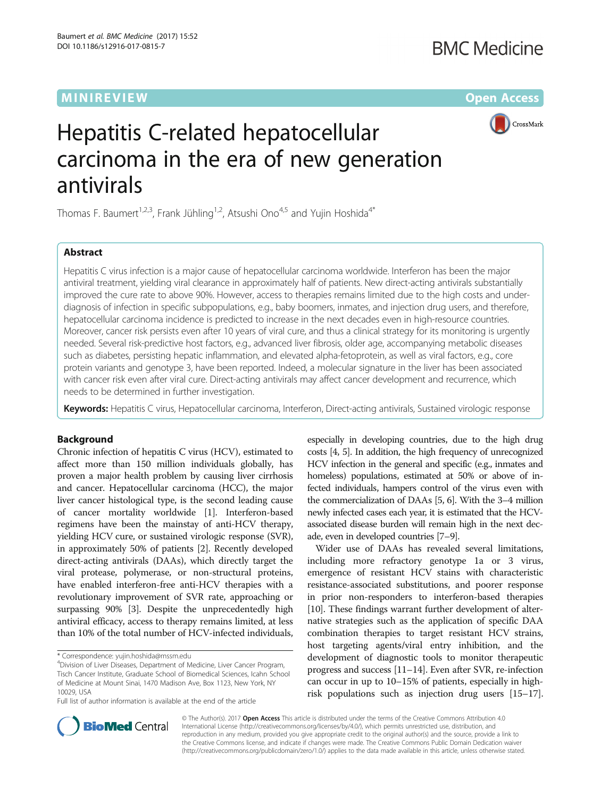## **MINIREVIEW CONTROL**



# Hepatitis C-related hepatocellular carcinoma in the era of new generation antivirals

Thomas F. Baumert<sup>1,2,3</sup>, Frank Jühling<sup>1,2</sup>, Atsushi Ono<sup>4,5</sup> and Yujin Hoshida<sup>4\*</sup>

## Abstract

Hepatitis C virus infection is a major cause of hepatocellular carcinoma worldwide. Interferon has been the major antiviral treatment, yielding viral clearance in approximately half of patients. New direct-acting antivirals substantially improved the cure rate to above 90%. However, access to therapies remains limited due to the high costs and underdiagnosis of infection in specific subpopulations, e.g., baby boomers, inmates, and injection drug users, and therefore, hepatocellular carcinoma incidence is predicted to increase in the next decades even in high-resource countries. Moreover, cancer risk persists even after 10 years of viral cure, and thus a clinical strategy for its monitoring is urgently needed. Several risk-predictive host factors, e.g., advanced liver fibrosis, older age, accompanying metabolic diseases such as diabetes, persisting hepatic inflammation, and elevated alpha-fetoprotein, as well as viral factors, e.g., core protein variants and genotype 3, have been reported. Indeed, a molecular signature in the liver has been associated with cancer risk even after viral cure. Direct-acting antivirals may affect cancer development and recurrence, which needs to be determined in further investigation.

Keywords: Hepatitis C virus, Hepatocellular carcinoma, Interferon, Direct-acting antivirals, Sustained virologic response

## **Background**

Chronic infection of hepatitis C virus (HCV), estimated to affect more than 150 million individuals globally, has proven a major health problem by causing liver cirrhosis and cancer. Hepatocellular carcinoma (HCC), the major liver cancer histological type, is the second leading cause of cancer mortality worldwide [[1](#page-7-0)]. Interferon-based regimens have been the mainstay of anti-HCV therapy, yielding HCV cure, or sustained virologic response (SVR), in approximately 50% of patients [[2](#page-7-0)]. Recently developed direct-acting antivirals (DAAs), which directly target the viral protease, polymerase, or non-structural proteins, have enabled interferon-free anti-HCV therapies with a revolutionary improvement of SVR rate, approaching or surpassing 90% [\[3\]](#page-7-0). Despite the unprecedentedly high antiviral efficacy, access to therapy remains limited, at less than 10% of the total number of HCV-infected individuals,

Full list of author information is available at the end of the article

especially in developing countries, due to the high drug costs [\[4](#page-7-0), [5](#page-7-0)]. In addition, the high frequency of unrecognized HCV infection in the general and specific (e.g., inmates and homeless) populations, estimated at 50% or above of infected individuals, hampers control of the virus even with the commercialization of DAAs [[5](#page-7-0), [6\]](#page-7-0). With the 3–4 million newly infected cases each year, it is estimated that the HCVassociated disease burden will remain high in the next decade, even in developed countries [[7](#page-7-0)–[9\]](#page-7-0).

Wider use of DAAs has revealed several limitations, including more refractory genotype 1a or 3 virus, emergence of resistant HCV stains with characteristic resistance-associated substitutions, and poorer response in prior non-responders to interferon-based therapies [[10](#page-7-0)]. These findings warrant further development of alternative strategies such as the application of specific DAA combination therapies to target resistant HCV strains, host targeting agents/viral entry inhibition, and the development of diagnostic tools to monitor therapeutic progress and success [[11](#page-7-0)–[14\]](#page-7-0). Even after SVR, re-infection can occur in up to 10–15% of patients, especially in highrisk populations such as injection drug users [\[15](#page-7-0)–[17](#page-7-0)].



© The Author(s). 2017 **Open Access** This article is distributed under the terms of the Creative Commons Attribution 4.0 International License [\(http://creativecommons.org/licenses/by/4.0/](http://creativecommons.org/licenses/by/4.0/)), which permits unrestricted use, distribution, and reproduction in any medium, provided you give appropriate credit to the original author(s) and the source, provide a link to the Creative Commons license, and indicate if changes were made. The Creative Commons Public Domain Dedication waiver [\(http://creativecommons.org/publicdomain/zero/1.0/](http://creativecommons.org/publicdomain/zero/1.0/)) applies to the data made available in this article, unless otherwise stated.

<sup>\*</sup> Correspondence: [yujin.hoshida@mssm.edu](mailto:yujin.hoshida@mssm.edu) <sup>4</sup>

<sup>&</sup>lt;sup>4</sup>Division of Liver Diseases, Department of Medicine, Liver Cancer Program, Tisch Cancer Institute, Graduate School of Biomedical Sciences, Icahn School of Medicine at Mount Sinai, 1470 Madison Ave, Box 1123, New York, NY 10029, USA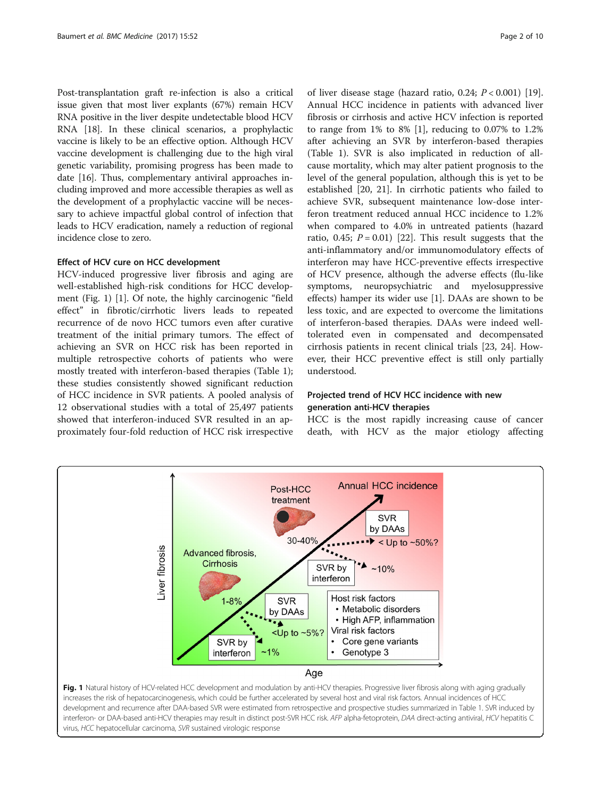Post-transplantation graft re-infection is also a critical issue given that most liver explants (67%) remain HCV RNA positive in the liver despite undetectable blood HCV RNA [[18](#page-7-0)]. In these clinical scenarios, a prophylactic vaccine is likely to be an effective option. Although HCV vaccine development is challenging due to the high viral genetic variability, promising progress has been made to date [[16](#page-7-0)]. Thus, complementary antiviral approaches including improved and more accessible therapies as well as the development of a prophylactic vaccine will be necessary to achieve impactful global control of infection that leads to HCV eradication, namely a reduction of regional incidence close to zero.

## Effect of HCV cure on HCC development

HCV-induced progressive liver fibrosis and aging are well-established high-risk conditions for HCC development (Fig. 1) [[1\]](#page-7-0). Of note, the highly carcinogenic "field effect" in fibrotic/cirrhotic livers leads to repeated recurrence of de novo HCC tumors even after curative treatment of the initial primary tumors. The effect of achieving an SVR on HCC risk has been reported in multiple retrospective cohorts of patients who were mostly treated with interferon-based therapies (Table [1](#page-2-0)); these studies consistently showed significant reduction of HCC incidence in SVR patients. A pooled analysis of 12 observational studies with a total of 25,497 patients showed that interferon-induced SVR resulted in an approximately four-fold reduction of HCC risk irrespective

of liver disease stage (hazard ratio, 0.24;  $P < 0.001$ ) [\[19](#page-7-0)]. Annual HCC incidence in patients with advanced liver fibrosis or cirrhosis and active HCV infection is reported to range from  $1\%$  to  $8\%$  [[1\]](#page-7-0), reducing to 0.07% to 1.2% after achieving an SVR by interferon-based therapies (Table [1](#page-2-0)). SVR is also implicated in reduction of allcause mortality, which may alter patient prognosis to the level of the general population, although this is yet to be established [\[20, 21](#page-7-0)]. In cirrhotic patients who failed to achieve SVR, subsequent maintenance low-dose interferon treatment reduced annual HCC incidence to 1.2% when compared to 4.0% in untreated patients (hazard ratio, 0.45;  $P = 0.01$  [[22\]](#page-7-0). This result suggests that the anti-inflammatory and/or immunomodulatory effects of interferon may have HCC-preventive effects irrespective of HCV presence, although the adverse effects (flu-like symptoms, neuropsychiatric and myelosuppressive effects) hamper its wider use [\[1](#page-7-0)]. DAAs are shown to be less toxic, and are expected to overcome the limitations of interferon-based therapies. DAAs were indeed welltolerated even in compensated and decompensated cirrhosis patients in recent clinical trials [[23](#page-7-0), [24](#page-7-0)]. However, their HCC preventive effect is still only partially understood.

## Projected trend of HCV HCC incidence with new generation anti-HCV therapies

HCC is the most rapidly increasing cause of cancer death, with HCV as the major etiology affecting



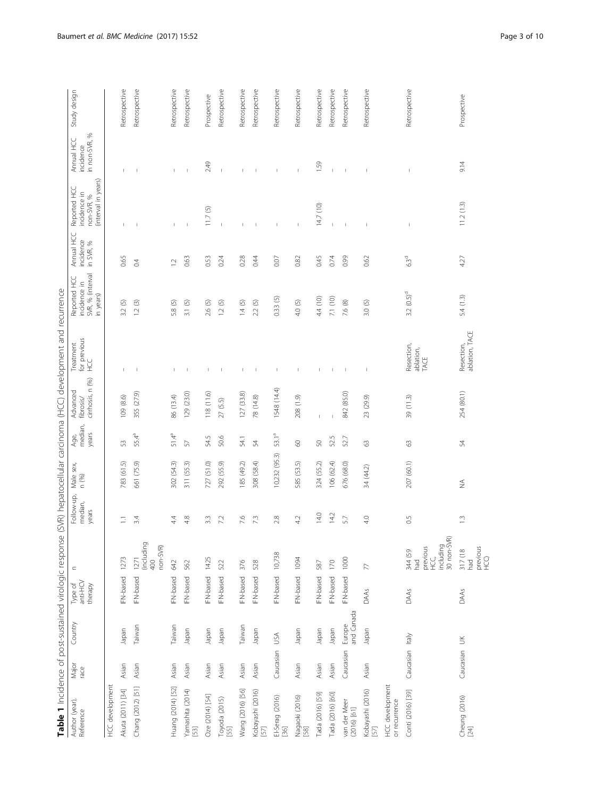| .<br>ו<br>l                                |  |
|--------------------------------------------|--|
|                                            |  |
|                                            |  |
|                                            |  |
| $\frac{1}{2}$<br>ī                         |  |
|                                            |  |
| i<br>j<br>٢                                |  |
| i<br>۶                                     |  |
|                                            |  |
| j<br>i                                     |  |
|                                            |  |
|                                            |  |
|                                            |  |
|                                            |  |
| ۱                                          |  |
| $\frac{1}{2}$<br>j<br>ī                    |  |
| Î                                          |  |
| )<br>)<br>i                                |  |
|                                            |  |
|                                            |  |
| $\frac{5}{1}$<br>j<br>Ş                    |  |
| Ó                                          |  |
| $\overline{\phantom{a}}$<br>ļ              |  |
| J                                          |  |
| ć                                          |  |
| j                                          |  |
| ١                                          |  |
|                                            |  |
|                                            |  |
| j<br>ĭ                                     |  |
| j                                          |  |
| nato                                       |  |
|                                            |  |
| I                                          |  |
|                                            |  |
|                                            |  |
| į<br>١                                     |  |
| i                                          |  |
|                                            |  |
|                                            |  |
| .<br>גו<br>$\frac{1}{2}$                   |  |
| I                                          |  |
| ļ                                          |  |
| Ì                                          |  |
| i                                          |  |
| j<br>l                                     |  |
| j<br>ï                                     |  |
| $\overline{\epsilon}$                      |  |
| j                                          |  |
|                                            |  |
| 5)<br>j                                    |  |
|                                            |  |
| ï                                          |  |
| ١                                          |  |
|                                            |  |
| í                                          |  |
| j                                          |  |
|                                            |  |
| ֦֧֦֧֦֧֦֧֦֧֦֧֦֧֦֧֦֧֦֧֦֧֦֧֦֧֦֧֪֦֧֚֬֝֝<br>֧֪֝ |  |
| j<br>ً<br>ا                                |  |
| l<br>i                                     |  |
| .<br>.)<br>.<br>ļ<br>۱                     |  |
|                                            |  |
| )<br>5<br>i                                |  |
|                                            |  |
| $\tilde{a}$                                |  |
|                                            |  |
|                                            |  |
|                                            |  |
| Table 1                                    |  |

<span id="page-2-0"></span>

| Table 1 Incidence of post-sustained virologic respons |               |                      |                                |                                                                       |                                |                    |                          |                                           | e (SVR) hepatocellular carcinoma (HCC) development and recurrence |                                                              |                                      |                                                                   |                                              |               |
|-------------------------------------------------------|---------------|----------------------|--------------------------------|-----------------------------------------------------------------------|--------------------------------|--------------------|--------------------------|-------------------------------------------|-------------------------------------------------------------------|--------------------------------------------------------------|--------------------------------------|-------------------------------------------------------------------|----------------------------------------------|---------------|
| Author (year),<br>Reference                           | Major<br>race | Country              | Type of<br>anti-HCV<br>therapy | $\subset$                                                             | Follow-up,<br>median,<br>years | Male sex,<br>n (%) | median,<br>years<br>Age, | cirrhosis, n (%)<br>Advanced<br>fibrosis/ | for previous<br>HCC<br>Treatment                                  | SVR, % (interval<br>Reported HC<br>incidence in<br>in years) | Annual HCC<br>incidence<br>in SVR, % | (interval in years)<br>Reported HCC<br>incidence in<br>non-SVR, % | S,<br>Annual HCC<br>in non-SVR,<br>incidence | Study design  |
| HCC development                                       |               |                      |                                |                                                                       |                                |                    |                          |                                           |                                                                   |                                                              |                                      |                                                                   |                                              |               |
| Akuta (2011) [34]                                     | Asian         | Japan                | IFN-based                      | 1273                                                                  | Ξ                              | 783 (61.5)         | 53                       | 109 (8.6)                                 | $\mathbf{I}$                                                      | 3.2(5)                                                       | 0.65                                 |                                                                   |                                              | Retrospective |
| Chang (2012) [51]                                     | Asian         | Taiwan               | IFN-based                      | (including<br>non-SVR)<br>1271<br>400                                 | 3.4                            | 661 (75.9)         | 55.4 <sup>a</sup>        | 355 (27.9)                                | J.                                                                | 1.2(3)                                                       | 0.4                                  |                                                                   |                                              | Retrospective |
| Huang (2014) [52]                                     | Asian         | Taiwan               | IFN-based                      | 642                                                                   | 4.4                            | 302 (54.3)         | 51.4ª                    | 86 (13.4)                                 | $\mathbf{I}$                                                      | 5.8 (5)                                                      | $\overline{12}$                      |                                                                   | $\mathbf{I}$                                 | Retrospective |
| Yamashita (2014)<br>$[53]$                            | Asian         | Japan                | IFN-based                      | 562                                                                   | 4.8                            | 311 (55.3)         | 57                       | 129 (23.0)                                | $\overline{\phantom{a}}$                                          | 3.1(5)                                                       | 0.63                                 |                                                                   | $\overline{1}$                               | Retrospective |
| Oze (2014) [54]                                       | Asian         | Japan                | IFN-based                      | 1425                                                                  | $\frac{3}{3}$                  | 727 (51.0)         | 54.5                     | 118 (11.6)                                | $\mathbf{I}$                                                      | 2.6(5)                                                       | 0.53                                 | 11.7(5)                                                           | 2.49                                         | Prospective   |
| Toyoda (2015)<br>$[55]$                               | Asian         | Japan                | IFN-based                      | 522                                                                   | 7.2                            | 292 (55.9)         | 50.6                     | 27(5.5)                                   |                                                                   | 0<br>$\overline{C}$                                          | 0.24                                 |                                                                   |                                              | Retrospective |
| Wang (2016) [56]                                      | Asian         | Taiwan               | IFN-based                      | 376                                                                   | 7.6                            | 185 (49.2)         | 54.1                     | 127 (33.8)                                | T.                                                                | 1.4(5)                                                       | 0.28                                 |                                                                   | T.                                           | Retrospective |
| Kobayashi (2016)<br>[57]                              | Asian         | Japan                | IFN-based                      | 528                                                                   | 73                             | 308 (58.4)         | 54                       | 78 (14.8)                                 | $\,$ $\,$                                                         | 2.2(5)                                                       | 0.44                                 |                                                                   | $\overline{\phantom{a}}$                     | Retrospective |
| El-Serag (2016)<br>[36]                               | Caucasian     | USA                  | IFN-based                      | 10,738                                                                | 2.8                            | 10,232 (95.3)      | 53.1ª                    | 1548 (14.4)                               | $\mathsf I$                                                       | 0.33(5)                                                      | 0.07                                 |                                                                   | $\mathsf I$                                  | Retrospective |
| Nagaoki (2016)<br>[58]                                | Asian         | neder                | IFN-based                      | 1094                                                                  | 4.2                            | 585 (53.5)         | $\odot$                  | 208 (1.9)                                 | $\mathsf I$                                                       | 4.0 (5)                                                      | 0.82                                 | $\mathsf I$                                                       | $\mathsf{I}$                                 | Retrospective |
| Tada (2016) [59]                                      | Asian         | Japan                | IFN-based                      | 587                                                                   | 14.0                           | 324 (55.2)         | 50                       |                                           | $\overline{\phantom{a}}$                                          | 4.4 (10)                                                     | 0.45                                 | 14.7 (10)                                                         | 1.59                                         | Retrospective |
| Tada (2016) [60]                                      | Asian         | Japan                | <b>IFN-based</b>               | 170                                                                   | 14.2                           | 106(62.4)          | 52.5                     |                                           | $\mathbf{I}$                                                      | 7.1 (10)                                                     | 0.74                                 |                                                                   |                                              | Retrospective |
| van der Meer<br>$(2016)$ [61]                         | Caucasian     | and Canada<br>Europe | IFN-based                      | 1000                                                                  | 57                             | 676 (68.0)         | 52.7                     | 842 (85.0)                                | $\mathbb{I}$                                                      | 7.6 (8)                                                      | 0.99                                 | $\overline{1}$                                                    | $\mathbb{I}$                                 | Retrospective |
| Kobayashi (2016)<br>[57]                              | Asian         | neder                | DAAs                           | $\overline{\nabla}$                                                   | 4.0                            | 34 (44.2)          | $63\,$                   | 23 (29.9)                                 | $\overline{1}$                                                    | 3.0(5)                                                       | 0.62                                 |                                                                   |                                              | Retrospective |
| <b>HCC</b> development<br>or recurrence               |               |                      |                                |                                                                       |                                |                    |                          |                                           |                                                                   |                                                              |                                      |                                                                   |                                              |               |
| Conti (2016) [39]                                     | Caucasian     | Italy                | DAAs                           | 空<br>including<br>30 non-SVF<br>previous<br>344 (59<br>ЧG<br>Н<br>had | 0.5                            | 207 (60.1)         | $\mathbb{S}^3$           | 39 (11.3)                                 | Resection,<br>ablation,<br>TACE                                   | $3.2 (0.5)^d$                                                | 6.3 <sup>d</sup>                     | $\mathsf I$                                                       | $\mathsf I$                                  | Retrospective |
| Cheung (2016)<br>[24]                                 | Caucasian UK  |                      | DAAs                           | previous<br>HCQ<br>317 (18<br>had                                     | $\widetilde{\Box}$             | $\lessgtr$         | 54                       | 254 (80.1)                                | ablation, TACE<br>Resection,                                      | 5.4(1.3)                                                     | 4.27                                 | 11.2(1.3)                                                         | 9.14                                         | Prospective   |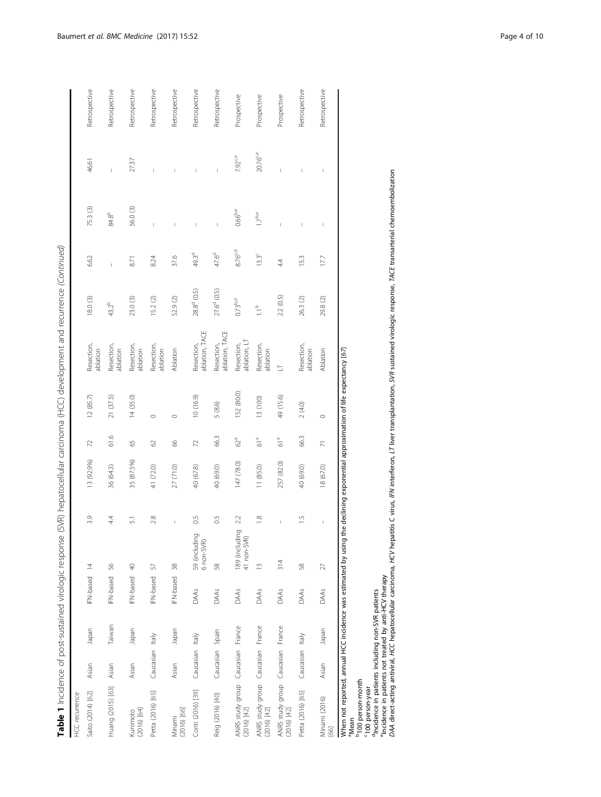| ֖֖֖֖֧֖֪֪֪֚֚֚֚֚֚֚֚֚֚֚֚֡֝֬֝֝֬֝֝֬֝֬֝֬֝֬֝֬֝֬֝֬֝֬֝֬ <b>֓</b><br>Ì   |  |
|----------------------------------------------------------------|--|
| ţ                                                              |  |
| S                                                              |  |
|                                                                |  |
| ţ<br>j<br>١                                                    |  |
|                                                                |  |
| )<br>)<br>۱                                                    |  |
|                                                                |  |
| Ì                                                              |  |
| ì                                                              |  |
| j<br>i                                                         |  |
| りり                                                             |  |
|                                                                |  |
| S<br>ī<br>֠                                                    |  |
| ć<br>j                                                         |  |
|                                                                |  |
| d<br>Ì                                                         |  |
| :                                                              |  |
| ç                                                              |  |
| ł                                                              |  |
| J                                                              |  |
| ï                                                              |  |
| ֧֖֖֖֖֖֖֖֖֖֖֖֧ׅ֧֖֧֧֚֚֚֚֚֚֚֚֚֚֚֚֚֚֬֬֝֓֬֓֡֬֓֬֓֬֓֬֓֬֓֬֓֬֓֬֓֬֓֓֬֓֝֬ |  |
| ١                                                              |  |
| آ<br>ا<br>ï                                                    |  |
|                                                                |  |
|                                                                |  |
| $\ddot{\cdot}$<br>į                                            |  |
| Í                                                              |  |
| i<br>)<br>ļ                                                    |  |
| j<br>i                                                         |  |
|                                                                |  |
| $\overline{\mathfrak{a}}$<br>j<br>i<br>Ï                       |  |
|                                                                |  |
| ĉ<br>j<br>i<br>١                                               |  |
|                                                                |  |
| j                                                              |  |
| j<br>Ì                                                         |  |
| ゚゚゚<br>ŧ                                                       |  |
|                                                                |  |
| ļ<br>J                                                         |  |
| $\overline{2}$                                                 |  |
|                                                                |  |
|                                                                |  |
| ć                                                              |  |
| į                                                              |  |
| ï<br>1                                                         |  |
| i<br>j                                                         |  |
| i                                                              |  |
| l<br>١<br>ŕ                                                    |  |
|                                                                |  |
|                                                                |  |
| j                                                              |  |
|                                                                |  |
| ł                                                              |  |
| Ï                                                              |  |
|                                                                |  |
| ï                                                              |  |
| 5<br>i                                                         |  |
| $\frac{1}{3}$<br>١                                             |  |
| ì                                                              |  |
|                                                                |  |
|                                                                |  |
| I                                                              |  |
| $\ddot{\phantom{a}}$                                           |  |
|                                                                |  |
| ١                                                              |  |
| j<br>ï                                                         |  |
| )<br>J                                                         |  |
| à                                                              |  |
| ī                                                              |  |
| 5<br>5                                                         |  |
| $\geq$                                                         |  |
| ï                                                              |  |
|                                                                |  |
|                                                                |  |
| Table,<br>$\overline{\phantom{a}}$                             |  |

| <b>HCC</b> recurrence                                                                 |                 |        |              |                                                |               |            |                 |                                                                 |                              |                    |                   |                          |                       |               |
|---------------------------------------------------------------------------------------|-----------------|--------|--------------|------------------------------------------------|---------------|------------|-----------------|-----------------------------------------------------------------|------------------------------|--------------------|-------------------|--------------------------|-----------------------|---------------|
| Saito (2014) [62]                                                                     | Asian           | Japan  | IFN-based 14 |                                                | 3.9           | 13 (92.9%) | 72              | 12(85.7)                                                        | Resection,<br>ablation       | 18.0 (3)           | 6.62              | 75.3 (3)                 | 46.61                 | Retrospective |
| Huang (2015) [63]                                                                     | Asian           | Taiwan | IFN-based    | 56                                             | 44            | 36 (64.3)  | 61.6            | 21 (37.5)                                                       | Resection,<br>ablation       | $43.2^{b}$         |                   | 84.8 <sup>b</sup>        | Ï                     | Retrospective |
| $(2016)$ [64]<br>Kunimoto                                                             | Asian           | Japan  | IFN-based 40 |                                                | 51            | 35 (87.5%) | 65              | 14(35.0)                                                        | Resection,<br>ablation       | 23.0 (3)           | 8.71              | 56.0 (3)                 | 27.37                 | Retrospective |
| Petta (2016) [65]                                                                     | Caucasian Italy |        | IFN-based    | 57                                             | 2.8           | 41 (72.0)  | 62              | $\circ$                                                         | Resection,<br>ablation       | 15.2(2)            | 8.24              | Ï                        | Ï                     | Retrospective |
| $(2016)$ [66]<br>Minami                                                               | Asian           | Japan  | IFN-based 38 |                                                | Ï             | 27 (71.0)  | 89              | $\circ$                                                         | Ablation                     | 52.9 (2)           | 37.6              | I                        |                       | Retrospective |
| Conti (2016) [39]                                                                     | Caucasian Italy |        | DAAs         | 59 (including<br>6 non-SVR)                    | 0.5           | 40 (67.8)  | 72              | 10(16.9)                                                        | ablation, TACE<br>Resection, | $28.8^d$ (0.5)     | 49.3 <sup>d</sup> | Ï                        |                       | Retrospective |
| Reig (2016) [40]                                                                      | Caucasian Spain |        | DAAs         | 58                                             | 0.5           | 40 (69.0)  | 66.3            | 5(8.6)                                                          | ablation, TACE<br>Resection, | $27.6^d(0.5)$      | 47.6 <sup>d</sup> | $\overline{1}$           | $\mathsf{I}$          | Retrospective |
| ANRS study group Caucasian France<br>$(2016)$ [42]                                    |                 |        | DAAs         | $\overline{Q}$<br>189 (includin<br>41 non-SVR) | 22            | 147 (78.0) | 62ª             | 152 (80.0)                                                      | ablation, LT<br>Resection,   | 0.73 <sup>bd</sup> | $8.76^{c,d}$      | $0.66^{b,e}$             | $7.92$ <sup>c,e</sup> | Prospective   |
| ANRS study group Caucasian France<br>$(2016)$ [42]                                    |                 |        | DAAs         | $\tilde{=}$                                    | $\frac{8}{1}$ | 11 (85.0)  | 61 <sup>a</sup> | 13 (100)                                                        | Resection,<br>ablation       | $\frac{a}{1}$      | $13.3^\circ$      | $17^{be}$                | 20.76 <sup>ce</sup>   | Prospective   |
| ANRS study group Caucasian France<br>(2016) [42]                                      |                 |        | DAAs         | 314                                            |               | 257 (82.0) | 61 <sup>a</sup> | 49 (15.6)                                                       | E                            | 2.2 (0.5)          | 44                | Ï                        |                       | Prospective   |
| Petta (2016) [65]                                                                     | Caucasian Italy |        | DAAs         | 58                                             | $\frac{5}{1}$ | 40 (69.0)  | 66.3            | 2(4.0)                                                          | Resection,<br>ablation       | 26.3 (2)           | 15.3              | I                        | I                     | Retrospective |
| Minami (2016)<br>[66]                                                                 | Asian           | Japan  | DAAs         | 27                                             | Ţ             | 18 (67.0)  | $\overline{N}$  | $\circ$                                                         | Ablation                     | 29.8 (2)           | 17.7              | $\overline{\phantom{a}}$ | I                     | Retrospective |
| When not reported, annual HCC incidence was estimated by using t<br>a <sub>Mean</sub> |                 |        |              |                                                |               |            |                 | the declining exponential approximation of life expectancy [67] |                              |                    |                   |                          |                       |               |

b100 person-month

c100 person-year

dIncidence in patients including non-SVR patients

<sup>e</sup>Incidence in patients not treated by anti-HCV therapy

<sup>b</sup>100 person-month<br>(100 person-year<br>"Incidence in patients including non-SVR patients<br>"Incidence in patients not treated by anti-HCV therapy<br>DAA direct-acting antiviral, HCC hepatocellular carcinoma, HCV hepattis C virus, DAA direct-acting antiviral, HCC hepatocellular carcinoma, HCV hepatitis C virus, IFN interferon, LT liver transplantation, SVR sustained virologic response, TACE transarterial chemoembolization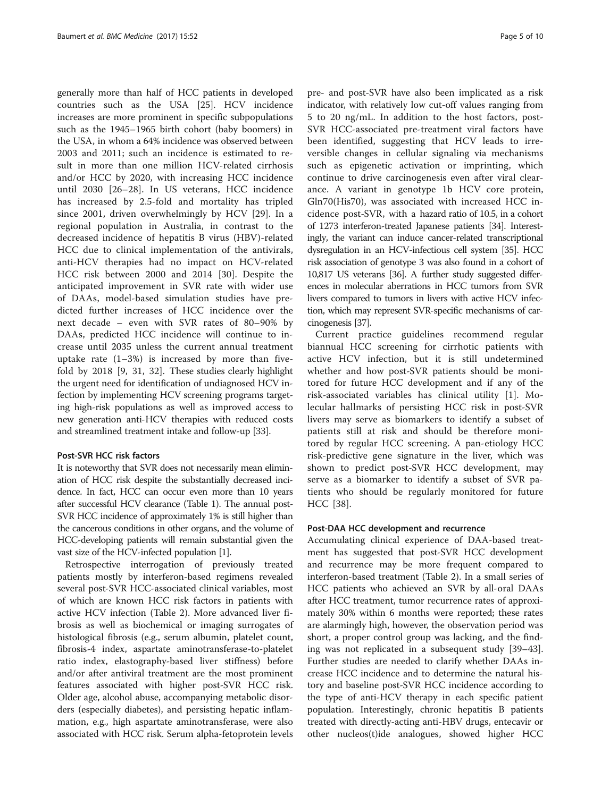generally more than half of HCC patients in developed countries such as the USA [[25](#page-7-0)]. HCV incidence increases are more prominent in specific subpopulations such as the 1945–1965 birth cohort (baby boomers) in the USA, in whom a 64% incidence was observed between 2003 and 2011; such an incidence is estimated to result in more than one million HCV-related cirrhosis and/or HCC by 2020, with increasing HCC incidence until 2030 [\[26](#page-7-0)–[28](#page-7-0)]. In US veterans, HCC incidence has increased by 2.5-fold and mortality has tripled since 2001, driven overwhelmingly by HCV [[29\]](#page-7-0). In a regional population in Australia, in contrast to the decreased incidence of hepatitis B virus (HBV)-related HCC due to clinical implementation of the antivirals, anti-HCV therapies had no impact on HCV-related HCC risk between 2000 and 2014 [[30](#page-7-0)]. Despite the anticipated improvement in SVR rate with wider use of DAAs, model-based simulation studies have predicted further increases of HCC incidence over the next decade – even with SVR rates of 80–90% by DAAs, predicted HCC incidence will continue to increase until 2035 unless the current annual treatment uptake rate  $(1-3\%)$  is increased by more than fivefold by 2018 [\[9](#page-7-0), [31](#page-7-0), [32\]](#page-8-0). These studies clearly highlight the urgent need for identification of undiagnosed HCV infection by implementing HCV screening programs targeting high-risk populations as well as improved access to new generation anti-HCV therapies with reduced costs and streamlined treatment intake and follow-up [[33](#page-8-0)].

## Post-SVR HCC risk factors

It is noteworthy that SVR does not necessarily mean elimination of HCC risk despite the substantially decreased incidence. In fact, HCC can occur even more than 10 years after successful HCV clearance (Table [1](#page-2-0)). The annual post-SVR HCC incidence of approximately 1% is still higher than the cancerous conditions in other organs, and the volume of HCC-developing patients will remain substantial given the vast size of the HCV-infected population [\[1\]](#page-7-0).

Retrospective interrogation of previously treated patients mostly by interferon-based regimens revealed several post-SVR HCC-associated clinical variables, most of which are known HCC risk factors in patients with active HCV infection (Table [2\)](#page-5-0). More advanced liver fibrosis as well as biochemical or imaging surrogates of histological fibrosis (e.g., serum albumin, platelet count, fibrosis-4 index, aspartate aminotransferase-to-platelet ratio index, elastography-based liver stiffness) before and/or after antiviral treatment are the most prominent features associated with higher post-SVR HCC risk. Older age, alcohol abuse, accompanying metabolic disorders (especially diabetes), and persisting hepatic inflammation, e.g., high aspartate aminotransferase, were also associated with HCC risk. Serum alpha-fetoprotein levels pre- and post-SVR have also been implicated as a risk indicator, with relatively low cut-off values ranging from 5 to 20 ng/mL. In addition to the host factors, post-SVR HCC-associated pre-treatment viral factors have been identified, suggesting that HCV leads to irreversible changes in cellular signaling via mechanisms such as epigenetic activation or imprinting, which continue to drive carcinogenesis even after viral clearance. A variant in genotype 1b HCV core protein, Gln70(His70), was associated with increased HCC incidence post-SVR, with a hazard ratio of 10.5, in a cohort of 1273 interferon-treated Japanese patients [\[34\]](#page-8-0). Interestingly, the variant can induce cancer-related transcriptional dysregulation in an HCV-infectious cell system [\[35](#page-8-0)]. HCC risk association of genotype 3 was also found in a cohort of 10,817 US veterans [[36\]](#page-8-0). A further study suggested differences in molecular aberrations in HCC tumors from SVR livers compared to tumors in livers with active HCV infection, which may represent SVR-specific mechanisms of carcinogenesis [\[37](#page-8-0)].

Current practice guidelines recommend regular biannual HCC screening for cirrhotic patients with active HCV infection, but it is still undetermined whether and how post-SVR patients should be monitored for future HCC development and if any of the risk-associated variables has clinical utility [[1\]](#page-7-0). Molecular hallmarks of persisting HCC risk in post-SVR livers may serve as biomarkers to identify a subset of patients still at risk and should be therefore monitored by regular HCC screening. A pan-etiology HCC risk-predictive gene signature in the liver, which was shown to predict post-SVR HCC development, may serve as a biomarker to identify a subset of SVR patients who should be regularly monitored for future HCC [[38\]](#page-8-0).

#### Post-DAA HCC development and recurrence

Accumulating clinical experience of DAA-based treatment has suggested that post-SVR HCC development and recurrence may be more frequent compared to interferon-based treatment (Table [2\)](#page-5-0). In a small series of HCC patients who achieved an SVR by all-oral DAAs after HCC treatment, tumor recurrence rates of approximately 30% within 6 months were reported; these rates are alarmingly high, however, the observation period was short, a proper control group was lacking, and the finding was not replicated in a subsequent study [[39](#page-8-0)–[43](#page-8-0)]. Further studies are needed to clarify whether DAAs increase HCC incidence and to determine the natural history and baseline post-SVR HCC incidence according to the type of anti-HCV therapy in each specific patient population. Interestingly, chronic hepatitis B patients treated with directly-acting anti-HBV drugs, entecavir or other nucleos(t)ide analogues, showed higher HCC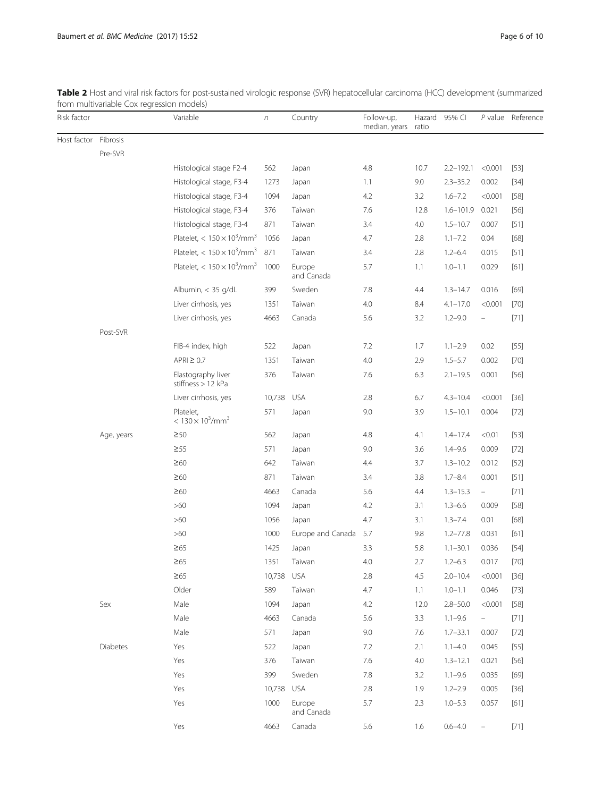<span id="page-5-0"></span>

| Table 2 Host and viral risk factors for post-sustained virologic response (SVR) hepatocellular carcinoma (HCC) development (summarized |  |
|----------------------------------------------------------------------------------------------------------------------------------------|--|
| from multivariable Cox regression models)                                                                                              |  |

| Risk factor |            | Variable                                     | $\boldsymbol{n}$ | Country              | Follow-up,<br>median, years | ratio   | Hazard 95% CI |                    | P value Reference |
|-------------|------------|----------------------------------------------|------------------|----------------------|-----------------------------|---------|---------------|--------------------|-------------------|
| Host factor | Fibrosis   |                                              |                  |                      |                             |         |               |                    |                   |
|             | Pre-SVR    |                                              |                  |                      |                             |         |               |                    |                   |
|             |            | Histological stage F2-4                      | 562              | Japan                | 4.8                         | 10.7    | $2.2 - 192.1$ | < 0.001            | $[53]$            |
|             |            | Histological stage, F3-4                     | 1273             | Japan                | 1.1                         | 9.0     | $2.3 - 35.2$  | 0.002              | $[34]$            |
|             |            | Histological stage, F3-4                     | 1094             | Japan                | 4.2                         | 3.2     | $1.6 - 7.2$   | < 0.001            | $[58]$            |
|             |            | Histological stage, F3-4                     | 376              | Taiwan               | 7.6                         | 12.8    | $1.6 - 101.9$ | 0.021              | $[56]$            |
|             |            | Histological stage, F3-4                     | 871              | Taiwan               | 3.4                         | 4.0     | $1.5 - 10.7$  | 0.007              | $[51]$            |
|             |            | Platelet, $< 150 \times 10^3/\text{mm}^3$    | 1056             | Japan                | 4.7                         | 2.8     | $1.1 - 7.2$   | 0.04               | $[68]$            |
|             |            | Platelet, $< 150 \times 10^3/\text{mm}^3$    | 871              | Taiwan               | 3.4                         | 2.8     | $1.2 - 6.4$   | 0.015              | $[51]$            |
|             |            | Platelet, $< 150 \times 10^3/\text{mm}^3$    | 1000             | Europe<br>and Canada | 5.7                         | 1.1     | $1.0 - 1.1$   | 0.029              | [61]              |
|             |            | Albumin, < 35 g/dL                           | 399              | Sweden               | 7.8                         | 4.4     | $1.3 - 14.7$  | 0.016              | $[69]$            |
|             |            | Liver cirrhosis, yes                         | 1351             | Taiwan               | 4.0                         | 8.4     | $4.1 - 17.0$  | < 0.001            | $[70]$            |
|             |            | Liver cirrhosis, yes                         | 4663             | Canada               | 5.6                         | 3.2     | $1.2 - 9.0$   | $\hspace{1.0cm} -$ | $[71]$            |
|             | Post-SVR   |                                              |                  |                      |                             |         |               |                    |                   |
|             |            | FIB-4 index, high                            | 522              | Japan                | 7.2                         | 1.7     | $1.1 - 2.9$   | 0.02               | $[55]$            |
|             |            | $APRI \geq 0.7$                              | 1351             | Taiwan               | 4.0                         | 2.9     | $1.5 - 5.7$   | 0.002              | $[70]$            |
|             |            | Elastography liver<br>stiffness > 12 kPa     | 376              | Taiwan               | 7.6                         | 6.3     | $2.1 - 19.5$  | 0.001              | $[56]$            |
|             |            | Liver cirrhosis, yes                         | 10,738           | <b>USA</b>           | 2.8                         | 6.7     | $4.3 - 10.4$  | < 0.001            | $[36]$            |
|             |            | Platelet,<br>$< 130 \times 10^3/\text{mm}^3$ | 571              | Japan                | 9.0                         | 3.9     | $1.5 - 10.1$  | 0.004              | $[72]$            |
|             | Age, years | $\geq 50$                                    | 562              | Japan                | 4.8                         | 4.1     | $1.4 - 17.4$  | < 0.01             | $[53]$            |
|             |            | $\geq 55$                                    | 571              | Japan                | 9.0                         | 3.6     | $1.4 - 9.6$   | 0.009              | $[72]$            |
|             |            | $\geq 60$                                    | 642              | Taiwan               | 4.4                         | 3.7     | $1.3 - 10.2$  | 0.012              | $[52]$            |
|             |            | $\geq 60$                                    | 871              | Taiwan               | 3.4                         | 3.8     | $1.7 - 8.4$   | 0.001              | $[51]$            |
|             |            | $\geq 60$                                    | 4663             | Canada               | 5.6                         | 4.4     | $1.3 - 15.3$  | $\equiv$           | $[71]$            |
|             |            | $>60$                                        | 1094             | Japan                | 4.2                         | 3.1     | $1.3 - 6.6$   | 0.009              | $[58]$            |
|             |            | $>60$                                        | 1056             | Japan                | 4.7                         | 3.1     | $1.3 - 7.4$   | 0.01               | $[68]$            |
|             |            | $>60$                                        | 1000             | Europe and Canada    | 5.7                         | 9.8     | $1.2 - 77.8$  | 0.031              | [61]              |
|             |            | $\geq 65$                                    | 1425             | Japan                | 3.3                         | 5.8     | $1.1 - 30.1$  | 0.036              | $[54]$            |
|             |            | $\geq 65$                                    | 1351             | Taiwan               | $4.0\,$                     | $2.7\,$ | $1.2 - 6.3$   | 0.017              | $[70]$            |
|             |            | $\geq 65$                                    | 10,738 USA       |                      | 2.8                         | 4.5     | $2.0 - 10.4$  | < 0.001            | $[36]$            |
|             |            | Older                                        | 589              | Taiwan               | 4.7                         | 1.1     | $1.0 - 1.1$   | 0.046              | $[73]$            |
|             | Sex        | Male                                         | 1094             | Japan                | 4.2                         | 12.0    | $2.8 - 50.0$  | < 0.001            | $[58]$            |
|             |            | Male                                         | 4663             | Canada               | 5.6                         | 3.3     | $1.1 - 9.6$   | $\equiv$           | $[71]$            |
|             |            | Male                                         | 571              | Japan                | 9.0                         | 7.6     | $1.7 - 33.1$  | 0.007              | $[72]$            |
|             | Diabetes   | Yes                                          | 522              | Japan                | 7.2                         | 2.1     | $1.1 - 4.0$   | 0.045              | $[55]$            |
|             |            | Yes                                          | 376              | Taiwan               | 7.6                         | 4.0     | $1.3 - 12.1$  | 0.021              | $[56]$            |
|             |            | Yes                                          | 399              | Sweden               | 7.8                         | 3.2     | $1.1 - 9.6$   | 0.035              | $[69]$            |
|             |            | Yes                                          | 10,738           | <b>USA</b>           | 2.8                         | 1.9     | $1.2 - 2.9$   | 0.005              | $[36]$            |
|             |            | Yes                                          | 1000             | Europe<br>and Canada | 5.7                         | 2.3     | $1.0 - 5.3$   | 0.057              | $[61]$            |
|             |            | Yes                                          | 4663             | Canada               | 5.6                         | 1.6     | $0.6 - 4.0$   | $\qquad \qquad -$  | [71]              |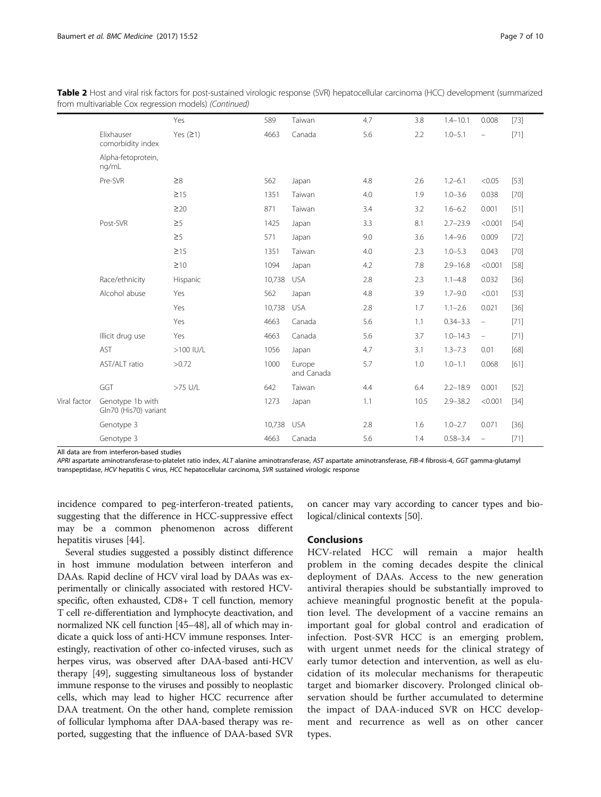| from multivariable Cox regression models) (Continued) | Table 2 Host and viral risk factors for post-sustained virologic response (SVR) hepatocellular carcinoma (HCC) development (summarized |  |
|-------------------------------------------------------|----------------------------------------------------------------------------------------------------------------------------------------|--|
|                                                       |                                                                                                                                        |  |

|              |                                           | Yes         | 589        | Taiwan               | 4.7 | 3.8  | $1.4 - 10.1$ | 0.008                    | $[73]$ |
|--------------|-------------------------------------------|-------------|------------|----------------------|-----|------|--------------|--------------------------|--------|
|              | Elixhauser<br>comorbidity index           | Yes $(21)$  | 4663       | Canada               | 5.6 | 2.2  | $1.0 - 5.1$  | $\overline{\phantom{0}}$ | $[71]$ |
|              | Alpha-fetoprotein,<br>ng/mL               |             |            |                      |     |      |              |                          |        |
|              | Pre-SVR                                   | $\geq 8$    | 562        | Japan                | 4.8 | 2.6  | $1.2 - 6.1$  | < 0.05                   | $[53]$ |
|              |                                           | $\geq$ 15   | 1351       | Taiwan               | 4.0 | 1.9  | $1.0 - 3.6$  | 0.038                    | $[70]$ |
|              |                                           | $\geq$ 20   | 871        | Taiwan               | 3.4 | 3.2  | $1.6 - 6.2$  | 0.001                    | $[51]$ |
|              | Post-SVR                                  | $\geq 5$    | 1425       | Japan                | 3.3 | 8.1  | $2.7 - 23.9$ | < 0.001                  | $[54]$ |
|              |                                           | $\geq 5$    | 571        | Japan                | 9.0 | 3.6  | $1.4 - 9.6$  | 0.009                    | $[72]$ |
|              |                                           | $\geq$ 15   | 1351       | Taiwan               | 4.0 | 2.3  | $1.0 - 5.3$  | 0.043                    | $[70]$ |
|              |                                           | $\geq 10$   | 1094       | Japan                | 4.2 | 7.8  | $2.9 - 16.8$ | < 0.001                  | $[58]$ |
|              | Race/ethnicity                            | Hispanic    | 10,738     | <b>USA</b>           | 2.8 | 2.3  | $1.1 - 4.8$  | 0.032                    | $[36]$ |
|              | Alcohol abuse                             | Yes         | 562        | Japan                | 4.8 | 3.9  | $1.7 - 9.0$  | < 0.01                   | $[53]$ |
|              |                                           | Yes         | 10,738     | <b>USA</b>           | 2.8 | 1.7  | $1.1 - 2.6$  | 0.021                    | $[36]$ |
|              |                                           | Yes         | 4663       | Canada               | 5.6 | 1.1  | $0.34 - 3.3$ | $\overline{\phantom{0}}$ | $[71]$ |
|              | Illicit drug use                          | Yes         | 4663       | Canada               | 5.6 | 3.7  | $1.0 - 14.3$ | $\equiv$                 | [71]   |
|              | <b>AST</b>                                | $>100$ IU/L | 1056       | Japan                | 4.7 | 3.1  | $1.3 - 7.3$  | 0.01                     | $[68]$ |
|              | AST/ALT ratio                             | >0.72       | 1000       | Europe<br>and Canada | 5.7 | 1.0  | $1.0 - 1.1$  | 0.068                    | $[61]$ |
|              | GGT                                       | >75 U/L     | 642        | Taiwan               | 4.4 | 6.4  | $2.2 - 18.9$ | 0.001                    | $[52]$ |
| Viral factor | Genotype 1b with<br>Gln70 (His70) variant |             | 1273       | Japan                | 1.1 | 10.5 | $2.9 - 38.2$ | < 0.001                  | $[34]$ |
|              | Genotype 3                                |             | 10,738 USA |                      | 2.8 | 1.6  | $1.0 - 2.7$  | 0.071                    | $[36]$ |
|              | Genotype 3                                |             | 4663       | Canada               | 5.6 | 1.4  | $0.58 - 3.4$ | $\qquad \qquad -$        | [71]   |

All data are from interferon-based studies

APRI aspartate aminotransferase-to-platelet ratio index, ALT alanine aminotransferase, AST aspartate aminotransferase, FIB-4 fibrosis-4, GGT gamma-glutamyl transpeptidase, HCV hepatitis C virus, HCC hepatocellular carcinoma, SVR sustained virologic response

incidence compared to peg-interferon-treated patients, suggesting that the difference in HCC-suppressive effect may be a common phenomenon across different hepatitis viruses [\[44](#page-8-0)].

Several studies suggested a possibly distinct difference in host immune modulation between interferon and DAAs. Rapid decline of HCV viral load by DAAs was experimentally or clinically associated with restored HCVspecific, often exhausted, CD8+ T cell function, memory T cell re-differentiation and lymphocyte deactivation, and normalized NK cell function [\[45](#page-8-0)–[48](#page-8-0)], all of which may indicate a quick loss of anti-HCV immune responses. Interestingly, reactivation of other co-infected viruses, such as herpes virus, was observed after DAA-based anti-HCV therapy [[49](#page-8-0)], suggesting simultaneous loss of bystander immune response to the viruses and possibly to neoplastic cells, which may lead to higher HCC recurrence after DAA treatment. On the other hand, complete remission of follicular lymphoma after DAA-based therapy was reported, suggesting that the influence of DAA-based SVR

on cancer may vary according to cancer types and biological/clinical contexts [\[50\]](#page-8-0).

## Conclusions

HCV-related HCC will remain a major health problem in the coming decades despite the clinical deployment of DAAs. Access to the new generation antiviral therapies should be substantially improved to achieve meaningful prognostic benefit at the population level. The development of a vaccine remains an important goal for global control and eradication of infection. Post-SVR HCC is an emerging problem, with urgent unmet needs for the clinical strategy of early tumor detection and intervention, as well as elucidation of its molecular mechanisms for therapeutic target and biomarker discovery. Prolonged clinical observation should be further accumulated to determine the impact of DAA-induced SVR on HCC development and recurrence as well as on other cancer types.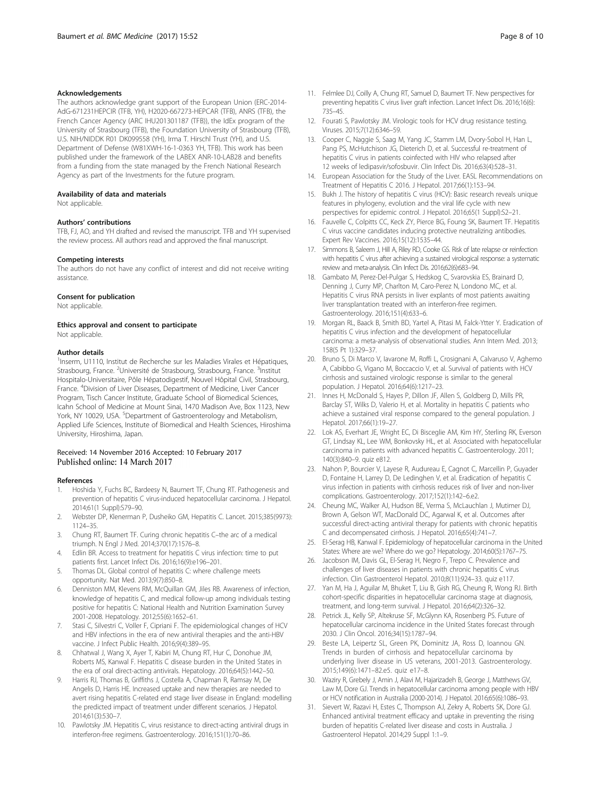#### <span id="page-7-0"></span>Acknowledgements

The authors acknowledge grant support of the European Union (ERC-2014- AdG-671231HEPCIR (TFB, YH), H2020-667273-HEPCAR (TFB), ANRS (TFB), the French Cancer Agency (ARC IHU201301187 (TFB)), the IdEx program of the University of Strasbourg (TFB), the Foundation University of Strasbourg (TFB), U.S. NIH/NIDDK R01 DK099558 (YH), Irma T. Hirschl Trust (YH), and U.S. Department of Defense (W81XWH-16-1-0363 YH, TFB). This work has been published under the framework of the LABEX ANR-10-LAB28 and benefits from a funding from the state managed by the French National Research Agency as part of the Investments for the future program.

#### Availability of data and materials

Not applicable.

#### Authors' contributions

TFB, FJ, AO, and YH drafted and revised the manuscript. TFB and YH supervised the review process. All authors read and approved the final manuscript.

#### Competing interests

The authors do not have any conflict of interest and did not receive writing assistance.

#### Consent for publication

Not applicable.

#### Ethics approval and consent to participate Not applicable.

#### Author details

<sup>1</sup>Inserm, U1110, Institut de Recherche sur les Maladies Virales et Hépatiques, Strasbourg, France. <sup>2</sup>Université de Strasbourg, Strasbourg, France. <sup>3</sup>Institut Hospitalo-Universitaire, Pôle Hépatodigestif, Nouvel Hôpital Civil, Strasbourg, France. <sup>4</sup>Division of Liver Diseases, Department of Medicine, Liver Cancer Program, Tisch Cancer Institute, Graduate School of Biomedical Sciences, Icahn School of Medicine at Mount Sinai, 1470 Madison Ave, Box 1123, New York, NY 10029, USA. <sup>5</sup>Department of Gastroenterology and Metabolism, Applied Life Sciences, Institute of Biomedical and Health Sciences, Hiroshima University, Hiroshima, Japan.

### Received: 14 November 2016 Accepted: 10 February 2017 Published online: 14 March 2017

#### References

- 1. Hoshida Y, Fuchs BC, Bardeesy N, Baumert TF, Chung RT. Pathogenesis and prevention of hepatitis C virus-induced hepatocellular carcinoma. J Hepatol. 2014;61(1 Suppl):S79–90.
- 2. Webster DP, Klenerman P, Dusheiko GM, Hepatitis C. Lancet. 2015;385(9973): 1124–35.
- 3. Chung RT, Baumert TF. Curing chronic hepatitis C–the arc of a medical triumph. N Engl J Med. 2014;370(17):1576–8.
- 4. Edlin BR. Access to treatment for hepatitis C virus infection: time to put patients first. Lancet Infect Dis. 2016;16(9):e196–201.
- 5. Thomas DL. Global control of hepatitis C: where challenge meets opportunity. Nat Med. 2013;9(7):850–8.
- 6. Denniston MM, Klevens RM, McQuillan GM, Jiles RB. Awareness of infection, knowledge of hepatitis C, and medical follow-up among individuals testing positive for hepatitis C: National Health and Nutrition Examination Survey 2001-2008. Hepatology. 2012;55(6):1652–61.
- 7. Stasi C, Silvestri C, Voller F, Cipriani F. The epidemiological changes of HCV and HBV infections in the era of new antiviral therapies and the anti-HBV vaccine. J Infect Public Health. 2016;9(4):389–95.
- 8. Chhatwal J, Wang X, Ayer T, Kabiri M, Chung RT, Hur C, Donohue JM, Roberts MS, Kanwal F. Hepatitis C disease burden in the United States in the era of oral direct-acting antivirals. Hepatology. 2016;64(5):1442–50.
- 9. Harris RJ, Thomas B, Griffiths J, Costella A, Chapman R, Ramsay M, De Angelis D, Harris HE. Increased uptake and new therapies are needed to avert rising hepatitis C-related end stage liver disease in England: modelling the predicted impact of treatment under different scenarios. J Hepatol. 2014;61(3):530–7.
- 10. Pawlotsky JM. Hepatitis C, virus resistance to direct-acting antiviral drugs in interferon-free regimens. Gastroenterology. 2016;151(1):70–86.
- 11. Felmlee DJ, Coilly A, Chung RT, Samuel D, Baumert TF. New perspectives for preventing hepatitis C virus liver graft infection. Lancet Infect Dis. 2016;16(6): 735–45.
- 12. Fourati S, Pawlotsky JM. Virologic tools for HCV drug resistance testing. Viruses. 2015;7(12):6346–59.
- 13. Cooper C, Naggie S, Saag M, Yang JC, Stamm LM, Dvory-Sobol H, Han L, Pang PS, McHutchison JG, Dieterich D, et al. Successful re-treatment of hepatitis C virus in patients coinfected with HIV who relapsed after 12 weeks of ledipasvir/sofosbuvir. Clin Infect Dis. 2016;63(4):528–31.
- 14. European Association for the Study of the Liver. EASL Recommendations on Treatment of Hepatitis C 2016. J Hepatol. 2017;66(1):153–94.
- 15. Bukh J. The history of hepatitis C virus (HCV): Basic research reveals unique features in phylogeny, evolution and the viral life cycle with new perspectives for epidemic control. J Hepatol. 2016;65(1 Suppl):S2–21.
- 16. Fauvelle C, Colpitts CC, Keck ZY, Pierce BG, Foung SK, Baumert TF. Hepatitis C virus vaccine candidates inducing protective neutralizing antibodies. Expert Rev Vaccines. 2016;15(12):1535–44.
- 17. Simmons B, Saleem J, Hill A, Riley RD, Cooke GS. Risk of late relapse or reinfection with hepatitis C virus after achieving a sustained virological response: a systematic review and meta-analysis. Clin Infect Dis. 2016;62(6):683–94.
- 18. Gambato M, Perez-Del-Pulgar S, Hedskog C, Svarovskia ES, Brainard D, Denning J, Curry MP, Charlton M, Caro-Perez N, Londono MC, et al. Hepatitis C virus RNA persists in liver explants of most patients awaiting liver transplantation treated with an interferon-free regimen. Gastroenterology. 2016;151(4):633–6.
- 19. Morgan RL, Baack B, Smith BD, Yartel A, Pitasi M, Falck-Ytter Y. Eradication of hepatitis C virus infection and the development of hepatocellular carcinoma: a meta-analysis of observational studies. Ann Intern Med. 2013; 158(5 Pt 1):329–37.
- 20. Bruno S, Di Marco V, Iavarone M, Roffi L, Crosignani A, Calvaruso V, Aghemo A, Cabibbo G, Vigano M, Boccaccio V, et al. Survival of patients with HCV cirrhosis and sustained virologic response is similar to the general population. J Hepatol. 2016;64(6):1217–23.
- 21. Innes H, McDonald S, Hayes P, Dillon JF, Allen S, Goldberg D, Mills PR, Barclay ST, Wilks D, Valerio H, et al. Mortality in hepatitis C patients who achieve a sustained viral response compared to the general population. J Hepatol. 2017;66(1):19–27.
- 22. Lok AS, Everhart JE, Wright EC, Di Bisceglie AM, Kim HY, Sterling RK, Everson GT, Lindsay KL, Lee WM, Bonkovsky HL, et al. Associated with hepatocellular carcinoma in patients with advanced hepatitis C. Gastroenterology. 2011; 140(3):840–9. quiz e812.
- 23. Nahon P, Bourcier V, Layese R, Audureau E, Cagnot C, Marcellin P, Guyader D, Fontaine H, Larrey D, De Ledinghen V, et al. Eradication of hepatitis C virus infection in patients with cirrhosis reduces risk of liver and non-liver complications. Gastroenterology. 2017;152(1):142–6.e2.
- 24. Cheung MC, Walker AJ, Hudson BE, Verma S, McLauchlan J, Mutimer DJ, Brown A, Gelson WT, MacDonald DC, Agarwal K, et al. Outcomes after successful direct-acting antiviral therapy for patients with chronic hepatitis C and decompensated cirrhosis. J Hepatol. 2016;65(4):741–7.
- 25. El-Serag HB, Kanwal F. Epidemiology of hepatocellular carcinoma in the United States: Where are we? Where do we go? Hepatology. 2014;60(5):1767–75.
- 26. Jacobson IM, Davis GL, El-Serag H, Negro F, Trepo C. Prevalence and challenges of liver diseases in patients with chronic hepatitis C virus infection. Clin Gastroenterol Hepatol. 2010;8(11):924–33. quiz e117.
- 27. Yan M, Ha J, Aguilar M, Bhuket T, Liu B, Gish RG, Cheung R, Wong RJ. Birth cohort-specific disparities in hepatocellular carcinoma stage at diagnosis, treatment, and long-term survival. J Hepatol. 2016;64(2):326–32.
- 28. Petrick JL, Kelly SP, Altekruse SF, McGlynn KA, Rosenberg PS. Future of hepatocellular carcinoma incidence in the United States forecast through 2030. J Clin Oncol. 2016;34(15):1787–94.
- 29. Beste LA, Leipertz SL, Green PK, Dominitz JA, Ross D, Ioannou GN. Trends in burden of cirrhosis and hepatocellular carcinoma by underlying liver disease in US veterans, 2001-2013. Gastroenterology. 2015;149(6):1471–82.e5. quiz e17–8.
- 30. Waziry R, Grebely J, Amin J, Alavi M, Hajarizadeh B, George J, Matthews GV, Law M, Dore GJ. Trends in hepatocellular carcinoma among people with HBV or HCV notification in Australia (2000-2014). J Hepatol. 2016;65(6):1086–93.
- 31. Sievert W, Razavi H, Estes C, Thompson AJ, Zekry A, Roberts SK, Dore GJ. Enhanced antiviral treatment efficacy and uptake in preventing the rising burden of hepatitis C-related liver disease and costs in Australia. J Gastroenterol Hepatol. 2014;29 Suppl 1:1–9.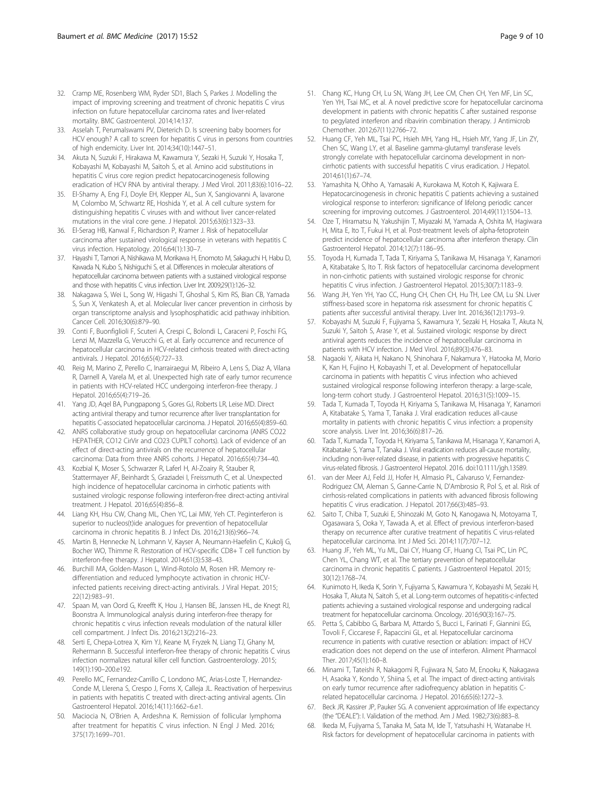- <span id="page-8-0"></span>32. Cramp ME, Rosenberg WM, Ryder SD1, Blach S, Parkes J. Modelling the impact of improving screening and treatment of chronic hepatitis C virus infection on future hepatocellular carcinoma rates and liver-related mortality. BMC Gastroenterol. 2014;14:137.
- 33. Asselah T, Perumalswami PV, Dieterich D. Is screening baby boomers for HCV enough? A call to screen for hepatitis C virus in persons from countries of high endemicity. Liver Int. 2014;34(10):1447–51.
- 34. Akuta N, Suzuki F, Hirakawa M, Kawamura Y, Sezaki H, Suzuki Y, Hosaka T, Kobayashi M, Kobayashi M, Saitoh S, et al. Amino acid substitutions in hepatitis C virus core region predict hepatocarcinogenesis following eradication of HCV RNA by antiviral therapy. J Med Virol. 2011;83(6):1016–22.
- 35. El-Shamy A, Eng FJ, Doyle EH, Klepper AL, Sun X, Sangiovanni A, Iavarone M, Colombo M, Schwartz RE, Hoshida Y, et al. A cell culture system for distinguishing hepatitis C viruses with and without liver cancer-related mutations in the viral core gene. J Hepatol. 2015;63(6):1323–33.
- 36. El-Serag HB, Kanwal F, Richardson P, Kramer J. Risk of hepatocellular carcinoma after sustained virological response in veterans with hepatitis C virus infection. Hepatology. 2016;64(1):130–7.
- 37. Hayashi T, Tamori A, Nishikawa M, Morikawa H, Enomoto M, Sakaguchi H, Habu D, Kawada N, Kubo S, Nishiguchi S, et al. Differences in molecular alterations of hepatocellular carcinoma between patients with a sustained virological response and those with hepatitis C virus infection. Liver Int. 2009;29(1):126–32.
- 38. Nakagawa S, Wei L, Song W, Higashi T, Ghoshal S, Kim RS, Bian CB, Yamada S, Sun X, Venkatesh A, et al. Molecular liver cancer prevention in cirrhosis by organ transcriptome analysis and lysophosphatidic acid pathway inhibition. Cancer Cell. 2016;30(6):879–90.
- 39. Conti F, Buonfiglioli F, Scuteri A, Crespi C, Bolondi L, Caraceni P, Foschi FG, Lenzi M, Mazzella G, Verucchi G, et al. Early occurrence and recurrence of hepatocellular carcinoma in HCV-related cirrhosis treated with direct-acting antivirals. J Hepatol. 2016;65(4):727–33.
- 40. Reig M, Marino Z, Perello C, Inarrairaegui M, Ribeiro A, Lens S, Diaz A, Vilana R, Darnell A, Varela M, et al. Unexpected high rate of early tumor recurrence in patients with HCV-related HCC undergoing interferon-free therapy. J Hepatol. 2016;65(4):719–26.
- 41. Yang JD, Aqel BA, Pungpapong S, Gores GJ, Roberts LR, Leise MD. Direct acting antiviral therapy and tumor recurrence after liver transplantation for hepatitis C-associated hepatocellular carcinoma. J Hepatol. 2016;65(4):859–60.
- 42. ANRS collaborative study group on hepatocellular carcinoma (ANRS CO22 HEPATHER, CO12 CirVir and CO23 CUPILT cohorts). Lack of evidence of an effect of direct-acting antivirals on the recurrence of hepatocellular carcinoma: Data from three ANRS cohorts. J Hepatol. 2016;65(4):734–40.
- 43. Kozbial K, Moser S, Schwarzer R, Laferl H, Al-Zoairy R, Stauber R, Stattermayer AF, Beinhardt S, Graziadei I, Freissmuth C, et al. Unexpected high incidence of hepatocellular carcinoma in cirrhotic patients with sustained virologic response following interferon-free direct-acting antiviral treatment. J Hepatol. 2016;65(4):856–8.
- 44. Liang KH, Hsu CW, Chang ML, Chen YC, Lai MW, Yeh CT. Peginterferon is superior to nucleos(t)ide analogues for prevention of hepatocellular carcinoma in chronic hepatitis B. J Infect Dis. 2016;213(6):966–74.
- 45. Martin B, Hennecke N, Lohmann V, Kayser A, Neumann-Haefelin C, Kukolj G, Bocher WO, Thimme R. Restoration of HCV-specific CD8+ T cell function by interferon-free therapy. J Hepatol. 2014;61(3):538–43.
- 46. Burchill MA, Golden-Mason L, Wind-Rotolo M, Rosen HR. Memory redifferentiation and reduced lymphocyte activation in chronic HCVinfected patients receiving direct-acting antivirals. J Viral Hepat. 2015; 22(12):983–91.
- 47. Spaan M, van Oord G, Kreefft K, Hou J, Hansen BE, Janssen HL, de Knegt RJ, Boonstra A. Immunological analysis during interferon-free therapy for chronic hepatitis c virus infection reveals modulation of the natural killer cell compartment. J Infect Dis. 2016;213(2):216–23.
- 48. Serti E, Chepa-Lotrea X, Kim YJ, Keane M, Fryzek N, Liang TJ, Ghany M, Rehermann B. Successful interferon-free therapy of chronic hepatitis C virus infection normalizes natural killer cell function. Gastroenterology. 2015; 149(1):190–200.e192.
- 49. Perello MC, Fernandez-Carrillo C, Londono MC, Arias-Loste T, Hernandez-Conde M, Llerena S, Crespo J, Forns X, Calleja JL. Reactivation of herpesvirus in patients with hepatitis C treated with direct-acting antiviral agents. Clin Gastroenterol Hepatol. 2016;14(11):1662–6.e1.
- 50. Maciocia N, O'Brien A, Ardeshna K. Remission of follicular lymphoma after treatment for hepatitis C virus infection. N Engl J Med. 2016; 375(17):1699–701.
- 51. Chang KC, Hung CH, Lu SN, Wang JH, Lee CM, Chen CH, Yen MF, Lin SC, Yen YH, Tsai MC, et al. A novel predictive score for hepatocellular carcinoma development in patients with chronic hepatitis C after sustained response to pegylated interferon and ribavirin combination therapy. J Antimicrob Chemother. 2012;67(11):2766–72.
- 52. Huang CF, Yeh ML, Tsai PC, Hsieh MH, Yang HL, Hsieh MY, Yang JF, Lin ZY, Chen SC, Wang LY, et al. Baseline gamma-glutamyl transferase levels strongly correlate with hepatocellular carcinoma development in noncirrhotic patients with successful hepatitis C virus eradication. J Hepatol. 2014;61(1):67–74.
- 53. Yamashita N, Ohho A, Yamasaki A, Kurokawa M, Kotoh K, Kajiwara E. Hepatocarcinogenesis in chronic hepatitis C patients achieving a sustained virological response to interferon: significance of lifelong periodic cancer screening for improving outcomes. J Gastroenterol. 2014;49(11):1504–13.
- 54. Oze T, Hiramatsu N, Yakushijin T, Miyazaki M, Yamada A, Oshita M, Hagiwara H, Mita E, Ito T, Fukui H, et al. Post-treatment levels of alpha-fetoprotein predict incidence of hepatocellular carcinoma after interferon therapy. Clin Gastroenterol Hepatol. 2014;12(7):1186–95.
- 55. Toyoda H, Kumada T, Tada T, Kiriyama S, Tanikawa M, Hisanaga Y, Kanamori A, Kitabatake S, Ito T. Risk factors of hepatocellular carcinoma development in non-cirrhotic patients with sustained virologic response for chronic hepatitis C virus infection. J Gastroenterol Hepatol. 2015;30(7):1183–9.
- 56. Wang JH, Yen YH, Yao CC, Hung CH, Chen CH, Hu TH, Lee CM, Lu SN. Liver stiffness-based score in hepatoma risk assessment for chronic hepatitis C patients after successful antiviral therapy. Liver Int. 2016;36(12):1793–9.
- 57. Kobayashi M, Suzuki F, Fujiyama S, Kawamura Y, Sezaki H, Hosaka T, Akuta N, Suzuki Y, Saitoh S, Arase Y, et al. Sustained virologic response by direct antiviral agents reduces the incidence of hepatocellular carcinoma in patients with HCV infection. J Med Virol. 2016;89(3):476–83.
- 58. Nagaoki Y, Aikata H, Nakano N, Shinohara F, Nakamura Y, Hatooka M, Morio K, Kan H, Fujino H, Kobayashi T, et al. Development of hepatocellular carcinoma in patients with hepatitis C virus infection who achieved sustained virological response following interferon therapy: a large-scale, long-term cohort study. J Gastroenterol Hepatol. 2016;31(5):1009–15.
- 59. Tada T, Kumada T, Toyoda H, Kiriyama S, Tanikawa M, Hisanaga Y, Kanamori A, Kitabatake S, Yama T, Tanaka J. Viral eradication reduces all-cause mortality in patients with chronic hepatitis C virus infection: a propensity score analysis. Liver Int. 2016;36(6):817–26.
- 60. Tada T, Kumada T, Toyoda H, Kiriyama S, Tanikawa M, Hisanaga Y, Kanamori A, Kitabatake S, Yama T, Tanaka J. Viral eradication reduces all-cause mortality, including non-liver-related disease, in patients with progressive hepatitis C virus-related fibrosis. J Gastroenterol Hepatol. 2016. doi:[10.1111/jgh.13589](http://dx.doi.org/10.1111/jgh.13589).
- 61. van der Meer AJ, Feld JJ, Hofer H, Almasio PL, Calvaruso V, Fernandez-Rodriguez CM, Aleman S, Ganne-Carrie N, D'Ambrosio R, Pol S, et al. Risk of cirrhosis-related complications in patients with advanced fibrosis following hepatitis C virus eradication. J Hepatol. 2017;66(3):485–93.
- 62. Saito T, Chiba T, Suzuki E, Shinozaki M, Goto N, Kanogawa N, Motoyama T, Ogasawara S, Ooka Y, Tawada A, et al. Effect of previous interferon-based therapy on recurrence after curative treatment of hepatitis C virus-related hepatocellular carcinoma. Int J Med Sci. 2014;11(7):707–12.
- 63. Huang JF, Yeh ML, Yu ML, Dai CY, Huang CF, Huang CI, Tsai PC, Lin PC, Chen YL, Chang WT, et al. The tertiary prevention of hepatocellular carcinoma in chronic hepatitis C patients. J Gastroenterol Hepatol. 2015; 30(12):1768–74.
- 64. Kunimoto H, Ikeda K, Sorin Y, Fujiyama S, Kawamura Y, Kobayashi M, Sezaki H, Hosaka T, Akuta N, Saitoh S, et al. Long-term outcomes of hepatitis-c-infected patients achieving a sustained virological response and undergoing radical treatment for hepatocellular carcinoma. Oncology. 2016;90(3):167–75.
- 65. Petta S, Cabibbo G, Barbara M, Attardo S, Bucci L, Farinati F, Giannini EG, Tovoli F, Ciccarese F, Rapaccini GL, et al. Hepatocellular carcinoma recurrence in patients with curative resection or ablation: impact of HCV eradication does not depend on the use of interferon. Aliment Pharmacol Ther. 2017;45(1):160–8.
- 66. Minami T, Tateishi R, Nakagomi R, Fujiwara N, Sato M, Enooku K, Nakagawa H, Asaoka Y, Kondo Y, Shiina S, et al. The impact of direct-acting antivirals on early tumor recurrence after radiofrequency ablation in hepatitis Crelated hepatocellular carcinoma. J Hepatol. 2016;65(6):1272–3.
- 67. Beck JR, Kassirer JP, Pauker SG. A convenient approximation of life expectancy (the "DEALE"): I. Validation of the method. Am J Med. 1982;73(6):883–8.
- 68. Ikeda M, Fujiyama S, Tanaka M, Sata M, Ide T, Yatsuhashi H, Watanabe H. Risk factors for development of hepatocellular carcinoma in patients with